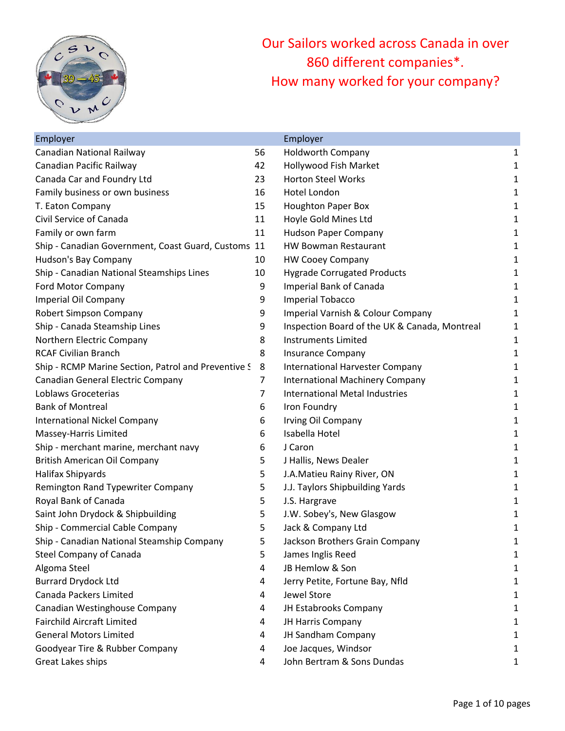

Our Sailors worked across Canada in over 860 different companies\*. How many worked for your company?

| Employer                                            |    | Employer                                      |   |
|-----------------------------------------------------|----|-----------------------------------------------|---|
| Canadian National Railway                           | 56 | <b>Holdworth Company</b>                      | 1 |
| Canadian Pacific Railway                            | 42 | Hollywood Fish Market                         | 1 |
| Canada Car and Foundry Ltd                          | 23 | <b>Horton Steel Works</b>                     | 1 |
| Family business or own business                     | 16 | <b>Hotel London</b>                           | 1 |
| T. Eaton Company                                    | 15 | <b>Houghton Paper Box</b>                     | 1 |
| Civil Service of Canada                             | 11 | Hoyle Gold Mines Ltd                          | 1 |
| Family or own farm                                  | 11 | <b>Hudson Paper Company</b>                   | 1 |
| Ship - Canadian Government, Coast Guard, Customs 11 |    | <b>HW Bowman Restaurant</b>                   | 1 |
| Hudson's Bay Company                                | 10 | <b>HW Cooey Company</b>                       | 1 |
| Ship - Canadian National Steamships Lines           | 10 | <b>Hygrade Corrugated Products</b>            | 1 |
| Ford Motor Company                                  | 9  | <b>Imperial Bank of Canada</b>                | 1 |
| Imperial Oil Company                                | 9  | <b>Imperial Tobacco</b>                       | 1 |
| Robert Simpson Company                              | 9  | Imperial Varnish & Colour Company             | 1 |
| Ship - Canada Steamship Lines                       | 9  | Inspection Board of the UK & Canada, Montreal | 1 |
| Northern Electric Company                           | 8  | <b>Instruments Limited</b>                    | 1 |
| <b>RCAF Civilian Branch</b>                         | 8  | Insurance Company                             | 1 |
| Ship - RCMP Marine Section, Patrol and Preventive S | 8  | <b>International Harvester Company</b>        | 1 |
| Canadian General Electric Company                   | 7  | <b>International Machinery Company</b>        | 1 |
| Loblaws Groceterias                                 | 7  | <b>International Metal Industries</b>         | 1 |
| <b>Bank of Montreal</b>                             | 6  | Iron Foundry                                  | 1 |
| <b>International Nickel Company</b>                 | 6  | Irving Oil Company                            | 1 |
| Massey-Harris Limited                               | 6  | Isabella Hotel                                | 1 |
| Ship - merchant marine, merchant navy               | 6  | J Caron                                       | 1 |
| <b>British American Oil Company</b>                 | 5  | J Hallis, News Dealer                         | 1 |
| Halifax Shipyards                                   | 5  | J.A.Matieu Rainy River, ON                    | 1 |
| Remington Rand Typewriter Company                   | 5  | J.J. Taylors Shipbuilding Yards               | 1 |
| Royal Bank of Canada                                | 5  | J.S. Hargrave                                 | 1 |
| Saint John Drydock & Shipbuilding                   | 5  | J.W. Sobey's, New Glasgow                     | 1 |
| Ship - Commercial Cable Company                     | 5  | Jack & Company Ltd                            | 1 |
| Ship - Canadian National Steamship Company          | 5  | Jackson Brothers Grain Company                | 1 |
| Steel Company of Canada                             | 5  | James Inglis Reed                             | 1 |
| Algoma Steel                                        | 4  | JB Hemlow & Son                               | 1 |
| <b>Burrard Drydock Ltd</b>                          | 4  | Jerry Petite, Fortune Bay, Nfld               | 1 |
| Canada Packers Limited                              | 4  | Jewel Store                                   | 1 |
| Canadian Westinghouse Company                       | 4  | JH Estabrooks Company                         | 1 |
| <b>Fairchild Aircraft Limited</b>                   | 4  | JH Harris Company                             | 1 |
| <b>General Motors Limited</b>                       | 4  | JH Sandham Company                            | 1 |
| Goodyear Tire & Rubber Company                      | 4  | Joe Jacques, Windsor                          | 1 |
| Great Lakes ships                                   | 4  | John Bertram & Sons Dundas                    | 1 |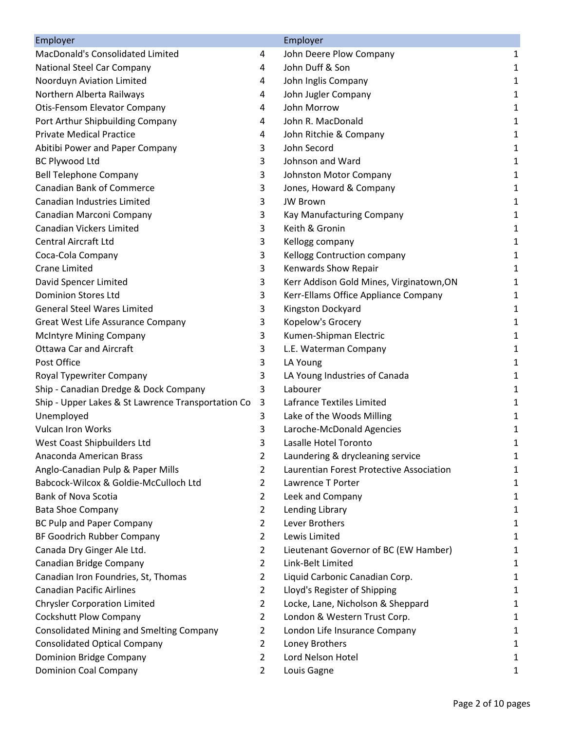| Employer                                           |                | Employer                                 |   |
|----------------------------------------------------|----------------|------------------------------------------|---|
| MacDonald's Consolidated Limited                   | 4              | John Deere Plow Company                  | 1 |
| <b>National Steel Car Company</b>                  | 4              | John Duff & Son                          | 1 |
| Noorduyn Aviation Limited                          | 4              | John Inglis Company                      | 1 |
| Northern Alberta Railways                          | 4              | John Jugler Company                      | 1 |
| <b>Otis-Fensom Elevator Company</b>                | 4              | John Morrow                              | 1 |
| Port Arthur Shipbuilding Company                   | 4              | John R. MacDonald                        | 1 |
| <b>Private Medical Practice</b>                    | 4              | John Ritchie & Company                   | 1 |
| Abitibi Power and Paper Company                    | 3              | John Secord                              | 1 |
| <b>BC Plywood Ltd</b>                              | 3              | Johnson and Ward                         | 1 |
| <b>Bell Telephone Company</b>                      | 3              | Johnston Motor Company                   | 1 |
| <b>Canadian Bank of Commerce</b>                   | 3              | Jones, Howard & Company                  | 1 |
| Canadian Industries Limited                        | 3              | <b>JW Brown</b>                          | 1 |
| Canadian Marconi Company                           | 3              | Kay Manufacturing Company                | 1 |
| <b>Canadian Vickers Limited</b>                    | 3              | Keith & Gronin                           | 1 |
| <b>Central Aircraft Ltd</b>                        | 3              | Kellogg company                          | 1 |
| Coca-Cola Company                                  | 3              | Kellogg Contruction company              | 1 |
| <b>Crane Limited</b>                               | 3              | Kenwards Show Repair                     | 1 |
| David Spencer Limited                              | 3              | Kerr Addison Gold Mines, Virginatown, ON | 1 |
| <b>Dominion Stores Ltd</b>                         | 3              | Kerr-Ellams Office Appliance Company     | 1 |
| <b>General Steel Wares Limited</b>                 | 3              | Kingston Dockyard                        | 1 |
| Great West Life Assurance Company                  | 3              | Kopelow's Grocery                        | 1 |
| <b>McIntyre Mining Company</b>                     | 3              | Kumen-Shipman Electric                   | 1 |
| <b>Ottawa Car and Aircraft</b>                     | 3              | L.E. Waterman Company                    | 1 |
| Post Office                                        | 3              | LA Young                                 | 1 |
| Royal Typewriter Company                           | 3              | LA Young Industries of Canada            | 1 |
| Ship - Canadian Dredge & Dock Company              | 3              | Labourer                                 | 1 |
| Ship - Upper Lakes & St Lawrence Transportation Co | 3              | Lafrance Textiles Limited                | 1 |
| Unemployed                                         | 3              | Lake of the Woods Milling                | 1 |
| <b>Vulcan Iron Works</b>                           | 3              | Laroche-McDonald Agencies                | 1 |
| West Coast Shipbuilders Ltd                        | 3              | Lasalle Hotel Toronto                    | 1 |
| Anaconda American Brass                            | 2              | Laundering & drycleaning service         | 1 |
| Anglo-Canadian Pulp & Paper Mills                  | 2              | Laurentian Forest Protective Association | 1 |
| Babcock-Wilcox & Goldie-McCulloch Ltd              | 2              | Lawrence T Porter                        | 1 |
| <b>Bank of Nova Scotia</b>                         | $\overline{2}$ | Leek and Company                         | 1 |
| <b>Bata Shoe Company</b>                           | 2              | Lending Library                          | 1 |
| <b>BC Pulp and Paper Company</b>                   | 2              | Lever Brothers                           | 1 |
| BF Goodrich Rubber Company                         | $\overline{2}$ | Lewis Limited                            | 1 |
| Canada Dry Ginger Ale Ltd.                         | 2              | Lieutenant Governor of BC (EW Hamber)    | 1 |
| Canadian Bridge Company                            | $\overline{2}$ | Link-Belt Limited                        | 1 |
| Canadian Iron Foundries, St, Thomas                | $\overline{2}$ | Liquid Carbonic Canadian Corp.           | 1 |
| <b>Canadian Pacific Airlines</b>                   | 2              | Lloyd's Register of Shipping             | 1 |
| <b>Chrysler Corporation Limited</b>                | 2              | Locke, Lane, Nicholson & Sheppard        | 1 |
| <b>Cockshutt Plow Company</b>                      | $\overline{2}$ | London & Western Trust Corp.             | 1 |
| <b>Consolidated Mining and Smelting Company</b>    | $\overline{2}$ | London Life Insurance Company            | 1 |
| <b>Consolidated Optical Company</b>                | 2              | Loney Brothers                           | 1 |
| Dominion Bridge Company                            | $\overline{2}$ | Lord Nelson Hotel                        | 1 |
| <b>Dominion Coal Company</b>                       | $\overline{2}$ | Louis Gagne                              | 1 |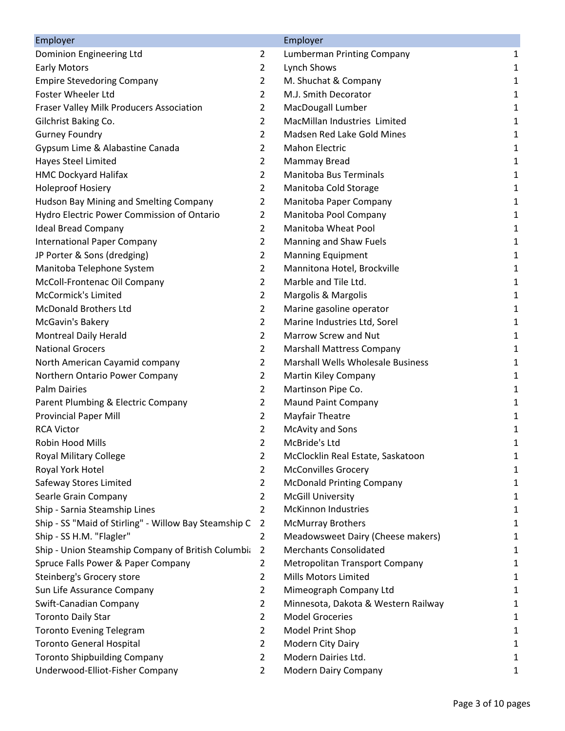| Employer                                              |                | Employer                                 |   |
|-------------------------------------------------------|----------------|------------------------------------------|---|
| Dominion Engineering Ltd                              | $\overline{2}$ | Lumberman Printing Company               | 1 |
| <b>Early Motors</b>                                   | $\overline{2}$ | Lynch Shows                              | 1 |
| <b>Empire Stevedoring Company</b>                     | $\overline{2}$ | M. Shuchat & Company                     | 1 |
| Foster Wheeler Ltd                                    | $\overline{2}$ | M.J. Smith Decorator                     | 1 |
| Fraser Valley Milk Producers Association              | $\overline{2}$ | MacDougall Lumber                        | 1 |
| Gilchrist Baking Co.                                  | $\overline{2}$ | MacMillan Industries Limited             | 1 |
| <b>Gurney Foundry</b>                                 | $\overline{2}$ | Madsen Red Lake Gold Mines               | 1 |
| Gypsum Lime & Alabastine Canada                       | $\overline{2}$ | <b>Mahon Electric</b>                    | 1 |
| <b>Hayes Steel Limited</b>                            | $\overline{2}$ | Mammay Bread                             | 1 |
| <b>HMC Dockyard Halifax</b>                           | $\overline{2}$ | <b>Manitoba Bus Terminals</b>            | 1 |
| <b>Holeproof Hosiery</b>                              | $\overline{2}$ | Manitoba Cold Storage                    | 1 |
| Hudson Bay Mining and Smelting Company                | $\overline{2}$ | Manitoba Paper Company                   | 1 |
| Hydro Electric Power Commission of Ontario            | $\overline{2}$ | Manitoba Pool Company                    | 1 |
| <b>Ideal Bread Company</b>                            | $\overline{2}$ | Manitoba Wheat Pool                      | 1 |
| <b>International Paper Company</b>                    | $\overline{2}$ | Manning and Shaw Fuels                   | 1 |
| JP Porter & Sons (dredging)                           | $\overline{2}$ | <b>Manning Equipment</b>                 | 1 |
| Manitoba Telephone System                             | $\overline{2}$ | Mannitona Hotel, Brockville              | 1 |
| McColl-Frontenac Oil Company                          | $\overline{2}$ | Marble and Tile Ltd.                     | 1 |
| McCormick's Limited                                   | $\overline{2}$ | Margolis & Margolis                      | 1 |
| <b>McDonald Brothers Ltd</b>                          | $\overline{2}$ | Marine gasoline operator                 | 1 |
| McGavin's Bakery                                      | $\overline{2}$ | Marine Industries Ltd, Sorel             | 1 |
| <b>Montreal Daily Herald</b>                          | $\overline{2}$ | Marrow Screw and Nut                     | 1 |
| <b>National Grocers</b>                               | $\overline{2}$ | <b>Marshall Mattress Company</b>         | 1 |
| North American Cayamid company                        | $\overline{2}$ | <b>Marshall Wells Wholesale Business</b> | 1 |
| Northern Ontario Power Company                        | $\overline{2}$ | Martin Kiley Company                     | 1 |
| <b>Palm Dairies</b>                                   | $\overline{2}$ | Martinson Pipe Co.                       | 1 |
| Parent Plumbing & Electric Company                    | $\overline{2}$ | <b>Maund Paint Company</b>               | 1 |
| <b>Provincial Paper Mill</b>                          | $\overline{2}$ | <b>Mayfair Theatre</b>                   | 1 |
| <b>RCA Victor</b>                                     | $\overline{2}$ | <b>McAvity and Sons</b>                  | 1 |
| Robin Hood Mills                                      | 2              | McBride's Ltd                            | 1 |
| <b>Royal Military College</b>                         | 2              | McClocklin Real Estate, Saskatoon        | 1 |
| Royal York Hotel                                      | $\overline{2}$ | <b>McConvilles Grocery</b>               | 1 |
| Safeway Stores Limited                                | $\overline{2}$ | <b>McDonald Printing Company</b>         | 1 |
| Searle Grain Company                                  | $\overline{2}$ | <b>McGill University</b>                 | 1 |
| Ship - Sarnia Steamship Lines                         | $\overline{2}$ | <b>McKinnon Industries</b>               | 1 |
| Ship - SS "Maid of Stirling" - Willow Bay Steamship C | 2              | <b>McMurray Brothers</b>                 | 1 |
| Ship - SS H.M. "Flagler"                              | $\overline{2}$ | Meadowsweet Dairy (Cheese makers)        | 1 |
| Ship - Union Steamship Company of British Columbia    | $\overline{2}$ | <b>Merchants Consolidated</b>            | 1 |
| Spruce Falls Power & Paper Company                    | $\overline{2}$ | <b>Metropolitan Transport Company</b>    | 1 |
| Steinberg's Grocery store                             | $\overline{2}$ | <b>Mills Motors Limited</b>              | 1 |
| Sun Life Assurance Company                            | $\overline{2}$ | Mimeograph Company Ltd                   | 1 |
| Swift-Canadian Company                                | $\overline{2}$ | Minnesota, Dakota & Western Railway      | 1 |
| <b>Toronto Daily Star</b>                             | $\overline{2}$ | <b>Model Groceries</b>                   | 1 |
| <b>Toronto Evening Telegram</b>                       | $\overline{2}$ | Model Print Shop                         | 1 |
| <b>Toronto General Hospital</b>                       | $\overline{2}$ | Modern City Dairy                        | 1 |
| <b>Toronto Shipbuilding Company</b>                   | $\overline{2}$ | Modern Dairies Ltd.                      | 1 |
| Underwood-Elliot-Fisher Company                       | $\overline{2}$ | Modern Dairy Company                     | 1 |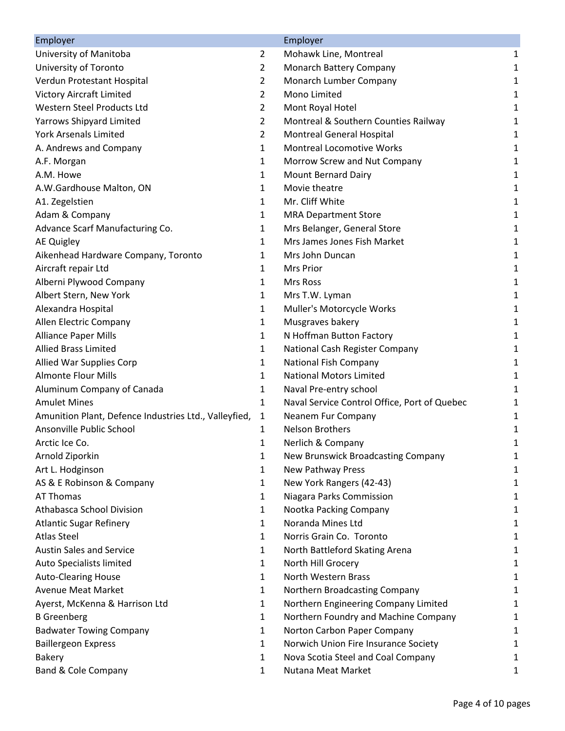| Employer                                              |                | Employer                                     |   |
|-------------------------------------------------------|----------------|----------------------------------------------|---|
| University of Manitoba                                | $\overline{2}$ | Mohawk Line, Montreal                        | 1 |
| University of Toronto                                 | $\overline{2}$ | Monarch Battery Company                      | 1 |
| Verdun Protestant Hospital                            | $\overline{2}$ | Monarch Lumber Company                       | 1 |
| <b>Victory Aircraft Limited</b>                       | $\overline{2}$ | <b>Mono Limited</b>                          | 1 |
| Western Steel Products Ltd                            | $\overline{2}$ | Mont Royal Hotel                             | 1 |
| Yarrows Shipyard Limited                              | $\overline{2}$ | Montreal & Southern Counties Railway         | 1 |
| <b>York Arsenals Limited</b>                          | $\overline{2}$ | Montreal General Hospital                    | 1 |
| A. Andrews and Company                                | 1              | <b>Montreal Locomotive Works</b>             | 1 |
| A.F. Morgan                                           | 1              | Morrow Screw and Nut Company                 | 1 |
| A.M. Howe                                             | $\mathbf{1}$   | Mount Bernard Dairy                          | 1 |
| A.W.Gardhouse Malton, ON                              | $\mathbf{1}$   | Movie theatre                                | 1 |
| A1. Zegelstien                                        | $\mathbf{1}$   | Mr. Cliff White                              | 1 |
| Adam & Company                                        | 1              | <b>MRA Department Store</b>                  | 1 |
| Advance Scarf Manufacturing Co.                       | 1              | Mrs Belanger, General Store                  | 1 |
| <b>AE Quigley</b>                                     | 1              | Mrs James Jones Fish Market                  | 1 |
| Aikenhead Hardware Company, Toronto                   | 1              | Mrs John Duncan                              | 1 |
| Aircraft repair Ltd                                   | 1              | <b>Mrs Prior</b>                             | 1 |
| Alberni Plywood Company                               | $\mathbf{1}$   | Mrs Ross                                     | 1 |
| Albert Stern, New York                                | $\mathbf{1}$   | Mrs T.W. Lyman                               | 1 |
| Alexandra Hospital                                    | 1              | Muller's Motorcycle Works                    | 1 |
| Allen Electric Company                                | 1              | Musgraves bakery                             | 1 |
| <b>Alliance Paper Mills</b>                           | $\mathbf{1}$   | N Hoffman Button Factory                     | 1 |
| <b>Allied Brass Limited</b>                           | $\mathbf{1}$   | National Cash Register Company               | 1 |
| Allied War Supplies Corp                              | 1              | National Fish Company                        | 1 |
| <b>Almonte Flour Mills</b>                            | $\mathbf{1}$   | <b>National Motors Limited</b>               | 1 |
| Aluminum Company of Canada                            | 1              | Naval Pre-entry school                       | 1 |
| <b>Amulet Mines</b>                                   | 1              | Naval Service Control Office, Port of Quebec | 1 |
| Amunition Plant, Defence Industries Ltd., Valleyfied, | $\mathbf{1}$   | Neanem Fur Company                           | 1 |
| Ansonville Public School                              | 1              | <b>Nelson Brothers</b>                       | 1 |
| Arctic Ice Co.                                        | 1              | Nerlich & Company                            | 1 |
| Arnold Ziporkin                                       | 1              | New Brunswick Broadcasting Company           | 1 |
| Art L. Hodginson                                      | 1              | New Pathway Press                            | 1 |
| AS & E Robinson & Company                             | 1              | New York Rangers (42-43)                     | 1 |
| AT Thomas                                             | 1              | Niagara Parks Commission                     | 1 |
| Athabasca School Division                             | 1              | Nootka Packing Company                       | 1 |
| <b>Atlantic Sugar Refinery</b>                        | 1              | Noranda Mines Ltd                            | 1 |
| <b>Atlas Steel</b>                                    | 1              | Norris Grain Co. Toronto                     | 1 |
| <b>Austin Sales and Service</b>                       | 1              | North Battleford Skating Arena               | 1 |
| Auto Specialists limited                              | 1              | North Hill Grocery                           | 1 |
| <b>Auto-Clearing House</b>                            | 1              | North Western Brass                          | 1 |
| <b>Avenue Meat Market</b>                             | 1              | Northern Broadcasting Company                | 1 |
| Ayerst, McKenna & Harrison Ltd                        | 1              | Northern Engineering Company Limited         | 1 |
| <b>B</b> Greenberg                                    | 1              | Northern Foundry and Machine Company         | 1 |
| <b>Badwater Towing Company</b>                        | 1              | Norton Carbon Paper Company                  | 1 |
| <b>Baillergeon Express</b>                            | 1              | Norwich Union Fire Insurance Society         | 1 |
| <b>Bakery</b>                                         | 1              | Nova Scotia Steel and Coal Company           | 1 |
| Band & Cole Company                                   | 1              | Nutana Meat Market                           | 1 |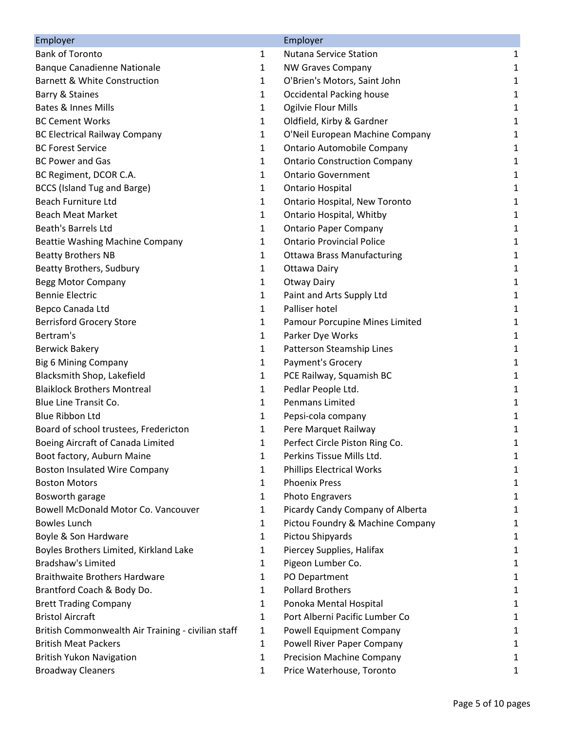| Employer                                           |              | Employer                             |   |
|----------------------------------------------------|--------------|--------------------------------------|---|
| <b>Bank of Toronto</b>                             | $\mathbf{1}$ | <b>Nutana Service Station</b>        | 1 |
| <b>Banque Canadienne Nationale</b>                 | $\mathbf{1}$ | <b>NW Graves Company</b>             | 1 |
| <b>Barnett &amp; White Construction</b>            | 1            | O'Brien's Motors, Saint John         | 1 |
| Barry & Staines                                    | 1            | <b>Occidental Packing house</b>      | 1 |
| <b>Bates &amp; Innes Mills</b>                     | $\mathbf{1}$ | Ogilvie Flour Mills                  | 1 |
| <b>BC Cement Works</b>                             | $\mathbf{1}$ | Oldfield, Kirby & Gardner            | 1 |
| <b>BC Electrical Railway Company</b>               | $\mathbf{1}$ | O'Neil European Machine Company      | 1 |
| <b>BC Forest Service</b>                           | $\mathbf{1}$ | <b>Ontario Automobile Company</b>    | 1 |
| <b>BC Power and Gas</b>                            | 1            | <b>Ontario Construction Company</b>  | 1 |
| BC Regiment, DCOR C.A.                             | 1            | <b>Ontario Government</b>            | 1 |
| BCCS (Island Tug and Barge)                        | $\mathbf{1}$ | <b>Ontario Hospital</b>              | 1 |
| Beach Furniture Ltd                                | 1            | <b>Ontario Hospital, New Toronto</b> | 1 |
| <b>Beach Meat Market</b>                           | 1            | Ontario Hospital, Whitby             | 1 |
| <b>Beath's Barrels Ltd</b>                         | 1            | <b>Ontario Paper Company</b>         | 1 |
| Beattie Washing Machine Company                    | $\mathbf{1}$ | <b>Ontario Provincial Police</b>     | 1 |
| <b>Beatty Brothers NB</b>                          | 1            | <b>Ottawa Brass Manufacturing</b>    | 1 |
| Beatty Brothers, Sudbury                           | $\mathbf{1}$ | <b>Ottawa Dairy</b>                  | 1 |
| <b>Begg Motor Company</b>                          | $\mathbf{1}$ | <b>Otway Dairy</b>                   | 1 |
| <b>Bennie Electric</b>                             | $\mathbf{1}$ | Paint and Arts Supply Ltd            | 1 |
| Bepco Canada Ltd                                   | $\mathbf{1}$ | Palliser hotel                       | 1 |
| <b>Berrisford Grocery Store</b>                    | 1            | Pamour Porcupine Mines Limited       | 1 |
| Bertram's                                          | $\mathbf{1}$ | Parker Dye Works                     | 1 |
| <b>Berwick Bakery</b>                              | $\mathbf{1}$ | Patterson Steamship Lines            | 1 |
| <b>Big 6 Mining Company</b>                        | $\mathbf{1}$ | Payment's Grocery                    | 1 |
| Blacksmith Shop, Lakefield                         | $\mathbf{1}$ | PCE Railway, Squamish BC             | 1 |
| <b>Blaiklock Brothers Montreal</b>                 | $\mathbf{1}$ | Pedlar People Ltd.                   | 1 |
| <b>Blue Line Transit Co.</b>                       | 1            | <b>Penmans Limited</b>               | 1 |
| <b>Blue Ribbon Ltd</b>                             | 1            | Pepsi-cola company                   | 1 |
| Board of school trustees, Fredericton              | 1            | Pere Marquet Railway                 | 1 |
| Boeing Aircraft of Canada Limited                  | 1            | Perfect Circle Piston Ring Co.       | 1 |
| Boot factory, Auburn Maine                         | 1            | Perkins Tissue Mills Ltd.            | 1 |
| <b>Boston Insulated Wire Company</b>               | $\mathbf{1}$ | <b>Phillips Electrical Works</b>     | 1 |
| <b>Boston Motors</b>                               | 1            | <b>Phoenix Press</b>                 | 1 |
| Bosworth garage                                    | 1            | <b>Photo Engravers</b>               | 1 |
| Bowell McDonald Motor Co. Vancouver                | 1            | Picardy Candy Company of Alberta     | 1 |
| <b>Bowles Lunch</b>                                | 1            | Pictou Foundry & Machine Company     | 1 |
| Boyle & Son Hardware                               | 1            | Pictou Shipyards                     | 1 |
| Boyles Brothers Limited, Kirkland Lake             | 1            | Piercey Supplies, Halifax            | 1 |
| <b>Bradshaw's Limited</b>                          | 1            | Pigeon Lumber Co.                    | 1 |
| <b>Braithwaite Brothers Hardware</b>               | 1            | PO Department                        | 1 |
| Brantford Coach & Body Do.                         | 1            | <b>Pollard Brothers</b>              | 1 |
| <b>Brett Trading Company</b>                       | $\mathbf{1}$ | Ponoka Mental Hospital               | 1 |
| <b>Bristol Aircraft</b>                            | $\mathbf{1}$ | Port Alberni Pacific Lumber Co       | 1 |
| British Commonwealth Air Training - civilian staff | 1            | <b>Powell Equipment Company</b>      | 1 |
| <b>British Meat Packers</b>                        | 1            | Powell River Paper Company           | 1 |
| <b>British Yukon Navigation</b>                    | $\mathbf{1}$ | <b>Precision Machine Company</b>     | 1 |
| <b>Broadway Cleaners</b>                           | 1            | Price Waterhouse, Toronto            | 1 |
|                                                    |              |                                      |   |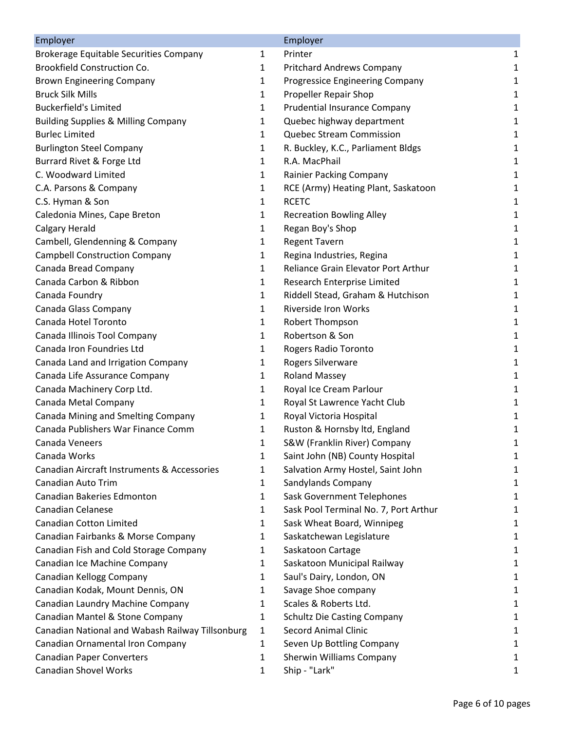| Employer                                         |              | Employer                              |   |
|--------------------------------------------------|--------------|---------------------------------------|---|
| Brokerage Equitable Securities Company           | $\mathbf{1}$ | Printer                               | 1 |
| <b>Brookfield Construction Co.</b>               | $\mathbf{1}$ | <b>Pritchard Andrews Company</b>      | 1 |
| <b>Brown Engineering Company</b>                 | 1            | Progressice Engineering Company       | 1 |
| <b>Bruck Silk Mills</b>                          | $\mathbf{1}$ | Propeller Repair Shop                 | 1 |
| <b>Buckerfield's Limited</b>                     | $\mathbf{1}$ | <b>Prudential Insurance Company</b>   | 1 |
| <b>Building Supplies &amp; Milling Company</b>   | $\mathbf{1}$ | Quebec highway department             | 1 |
| <b>Burlec Limited</b>                            | 1            | Quebec Stream Commission              | 1 |
| <b>Burlington Steel Company</b>                  | 1            | R. Buckley, K.C., Parliament Bldgs    | 1 |
| Burrard Rivet & Forge Ltd                        | $\mathbf{1}$ | R.A. MacPhail                         | 1 |
| C. Woodward Limited                              | $\mathbf{1}$ | Rainier Packing Company               | 1 |
| C.A. Parsons & Company                           | $\mathbf{1}$ | RCE (Army) Heating Plant, Saskatoon   | 1 |
| C.S. Hyman & Son                                 | 1            | <b>RCETC</b>                          | 1 |
| Caledonia Mines, Cape Breton                     | 1            | <b>Recreation Bowling Alley</b>       | 1 |
| <b>Calgary Herald</b>                            | $\mathbf{1}$ | Regan Boy's Shop                      | 1 |
| Cambell, Glendenning & Company                   | $\mathbf{1}$ | <b>Regent Tavern</b>                  | 1 |
| <b>Campbell Construction Company</b>             | $\mathbf{1}$ | Regina Industries, Regina             | 1 |
| Canada Bread Company                             | $\mathbf{1}$ | Reliance Grain Elevator Port Arthur   | 1 |
| Canada Carbon & Ribbon                           | $\mathbf{1}$ | Research Enterprise Limited           | 1 |
| Canada Foundry                                   | $\mathbf{1}$ | Riddell Stead, Graham & Hutchison     | 1 |
| Canada Glass Company                             | $\mathbf{1}$ | <b>Riverside Iron Works</b>           | 1 |
| Canada Hotel Toronto                             | $\mathbf{1}$ | Robert Thompson                       | 1 |
| Canada Illinois Tool Company                     | $\mathbf{1}$ | Robertson & Son                       | 1 |
| Canada Iron Foundries Ltd                        | $\mathbf{1}$ | Rogers Radio Toronto                  | 1 |
| Canada Land and Irrigation Company               | 1            | Rogers Silverware                     | 1 |
| Canada Life Assurance Company                    | $\mathbf{1}$ | <b>Roland Massey</b>                  | 1 |
| Canada Machinery Corp Ltd.                       | 1            | Royal Ice Cream Parlour               | 1 |
| Canada Metal Company                             | 1            | Royal St Lawrence Yacht Club          | 1 |
| Canada Mining and Smelting Company               | $\mathbf{1}$ | Royal Victoria Hospital               | 1 |
| Canada Publishers War Finance Comm               | $\mathbf{1}$ | Ruston & Hornsby Itd, England         | 1 |
| Canada Veneers                                   | 1            | S&W (Franklin River) Company          | 1 |
| Canada Works                                     | 1            | Saint John (NB) County Hospital       | 1 |
| Canadian Aircraft Instruments & Accessories      | 1            | Salvation Army Hostel, Saint John     | 1 |
| Canadian Auto Trim                               | 1            | Sandylands Company                    | 1 |
| Canadian Bakeries Edmonton                       | 1            | Sask Government Telephones            | 1 |
| <b>Canadian Celanese</b>                         | 1            | Sask Pool Terminal No. 7, Port Arthur | 1 |
| <b>Canadian Cotton Limited</b>                   | 1            | Sask Wheat Board, Winnipeg            | 1 |
| Canadian Fairbanks & Morse Company               | 1            | Saskatchewan Legislature              | 1 |
| Canadian Fish and Cold Storage Company           | 1            | Saskatoon Cartage                     | 1 |
| Canadian Ice Machine Company                     | 1            | Saskatoon Municipal Railway           | 1 |
| Canadian Kellogg Company                         | 1            | Saul's Dairy, London, ON              | 1 |
| Canadian Kodak, Mount Dennis, ON                 | 1            | Savage Shoe company                   | 1 |
| Canadian Laundry Machine Company                 | $\mathbf{1}$ | Scales & Roberts Ltd.                 | 1 |
| Canadian Mantel & Stone Company                  | 1            | <b>Schultz Die Casting Company</b>    | 1 |
| Canadian National and Wabash Railway Tillsonburg | 1            | <b>Secord Animal Clinic</b>           | 1 |
| Canadian Ornamental Iron Company                 | 1            | Seven Up Bottling Company             | 1 |
| <b>Canadian Paper Converters</b>                 | 1            | Sherwin Williams Company              | 1 |
| <b>Canadian Shovel Works</b>                     | 1            | Ship - "Lark"                         | 1 |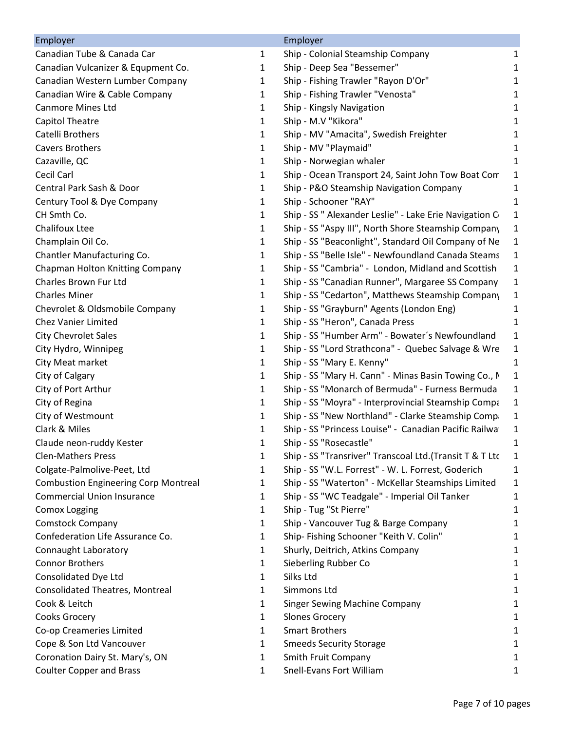| Employer                                    |   | Employer                                                |              |
|---------------------------------------------|---|---------------------------------------------------------|--------------|
| Canadian Tube & Canada Car                  | 1 | Ship - Colonial Steamship Company                       | 1            |
| Canadian Vulcanizer & Equpment Co.          | 1 | Ship - Deep Sea "Bessemer"                              | 1            |
| Canadian Western Lumber Company             | 1 | Ship - Fishing Trawler "Rayon D'Or"                     | 1            |
| Canadian Wire & Cable Company               | 1 | Ship - Fishing Trawler "Venosta"                        | 1            |
| <b>Canmore Mines Ltd</b>                    | 1 | Ship - Kingsly Navigation                               | 1            |
| <b>Capitol Theatre</b>                      | 1 | Ship - M.V "Kikora"                                     | 1            |
| Catelli Brothers                            | 1 | Ship - MV "Amacita", Swedish Freighter                  | 1            |
| <b>Cavers Brothers</b>                      | 1 | Ship - MV "Playmaid"                                    | 1            |
| Cazaville, QC                               | 1 | Ship - Norwegian whaler                                 | 1            |
| Cecil Carl                                  | 1 | Ship - Ocean Transport 24, Saint John Tow Boat Com      | 1            |
| Central Park Sash & Door                    | 1 | Ship - P&O Steamship Navigation Company                 | 1            |
| Century Tool & Dye Company                  | 1 | Ship - Schooner "RAY"                                   | 1            |
| CH Smth Co.                                 | 1 | Ship - SS " Alexander Leslie" - Lake Erie Navigation C  | 1            |
| <b>Chalifoux Ltee</b>                       | 1 | Ship - SS "Aspy III", North Shore Steamship Company     | 1            |
| Champlain Oil Co.                           | 1 | Ship - SS "Beaconlight", Standard Oil Company of Ne     | 1            |
| Chantler Manufacturing Co.                  | 1 | Ship - SS "Belle Isle" - Newfoundland Canada Steams     | 1            |
| Chapman Holton Knitting Company             | 1 | Ship - SS "Cambria" - London, Midland and Scottish      | 1            |
| Charles Brown Fur Ltd                       | 1 | Ship - SS "Canadian Runner", Margaree SS Company        | 1            |
| <b>Charles Miner</b>                        | 1 | Ship - SS "Cedarton", Matthews Steamship Company        | 1            |
| Chevrolet & Oldsmobile Company              | 1 | Ship - SS "Grayburn" Agents (London Eng)                | 1            |
| <b>Chez Vanier Limited</b>                  | 1 | Ship - SS "Heron", Canada Press                         | 1            |
| <b>City Chevrolet Sales</b>                 | 1 | Ship - SS "Humber Arm" - Bowater's Newfoundland         | $\mathbf{1}$ |
| City Hydro, Winnipeg                        | 1 | Ship - SS "Lord Strathcona" - Quebec Salvage & Wre      | 1            |
| City Meat market                            | 1 | Ship - SS "Mary E. Kenny"                               | 1            |
| City of Calgary                             | 1 | Ship - SS "Mary H. Cann" - Minas Basin Towing Co., N    | $\mathbf{1}$ |
| City of Port Arthur                         | 1 | Ship - SS "Monarch of Bermuda" - Furness Bermuda        | $\mathbf{1}$ |
| City of Regina                              | 1 | Ship - SS "Moyra" - Interprovincial Steamship Compa     | 1            |
| City of Westmount                           | 1 | Ship - SS "New Northland" - Clarke Steamship Compa      | 1            |
| Clark & Miles                               | 1 | Ship - SS "Princess Louise" - Canadian Pacific Railwa   | 1            |
| Claude neon-ruddy Kester                    | 1 | Ship - SS "Rosecastle"                                  | 1            |
| <b>Clen-Mathers Press</b>                   | 1 | Ship - SS "Transriver" Transcoal Ltd.(Transit T & T Ltc | 1            |
| Colgate-Palmolive-Peet, Ltd                 | 1 | Ship - SS "W.L. Forrest" - W. L. Forrest, Goderich      | 1            |
| <b>Combustion Engineering Corp Montreal</b> | 1 | Ship - SS "Waterton" - McKellar Steamships Limited      | 1            |
| <b>Commercial Union Insurance</b>           | 1 | Ship - SS "WC Teadgale" - Imperial Oil Tanker           | 1            |
| <b>Comox Logging</b>                        | 1 | Ship - Tug "St Pierre"                                  | 1            |
| <b>Comstock Company</b>                     | 1 | Ship - Vancouver Tug & Barge Company                    | 1            |
| Confederation Life Assurance Co.            | 1 | Ship- Fishing Schooner "Keith V. Colin"                 | 1            |
| Connaught Laboratory                        | 1 | Shurly, Deitrich, Atkins Company                        | 1            |
| <b>Connor Brothers</b>                      | 1 | Sieberling Rubber Co                                    | 1            |
| Consolidated Dye Ltd                        | 1 | Silks Ltd                                               | 1            |
| <b>Consolidated Theatres, Montreal</b>      | 1 | Simmons Ltd                                             | 1            |
| Cook & Leitch                               | 1 | <b>Singer Sewing Machine Company</b>                    | 1            |
|                                             |   |                                                         |              |
| Cooks Grocery                               | 1 | <b>Slones Grocery</b>                                   | 1            |
| Co-op Creameries Limited                    | 1 | <b>Smart Brothers</b>                                   | 1            |
| Cope & Son Ltd Vancouver                    | 1 | <b>Smeeds Security Storage</b>                          | 1            |
| Coronation Dairy St. Mary's, ON             | 1 | Smith Fruit Company                                     | 1            |
| <b>Coulter Copper and Brass</b>             | 1 | <b>Snell-Evans Fort William</b>                         | 1            |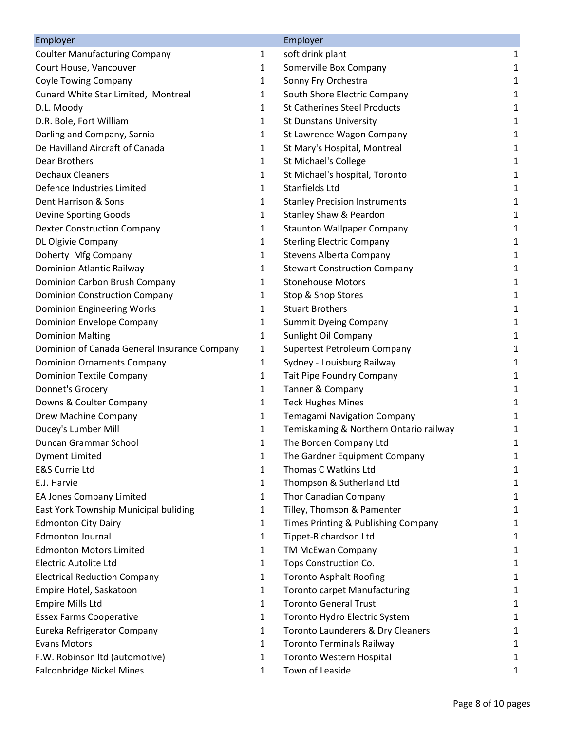| Employer                                     |              | Employer                               |              |
|----------------------------------------------|--------------|----------------------------------------|--------------|
| <b>Coulter Manufacturing Company</b>         | 1            | soft drink plant                       | 1            |
| Court House, Vancouver                       | $\mathbf{1}$ | Somerville Box Company                 | $\mathbf{1}$ |
| <b>Coyle Towing Company</b>                  | 1            | Sonny Fry Orchestra                    | 1            |
| Cunard White Star Limited, Montreal          | 1            | South Shore Electric Company           | 1            |
| D.L. Moody                                   | $\mathbf{1}$ | <b>St Catherines Steel Products</b>    | 1            |
| D.R. Bole, Fort William                      | $\mathbf{1}$ | <b>St Dunstans University</b>          | $\mathbf 1$  |
| Darling and Company, Sarnia                  | 1            | St Lawrence Wagon Company              | 1            |
| De Havilland Aircraft of Canada              | 1            | St Mary's Hospital, Montreal           | 1            |
| Dear Brothers                                | $\mathbf{1}$ | <b>St Michael's College</b>            | 1            |
| <b>Dechaux Cleaners</b>                      | 1            | St Michael's hospital, Toronto         | 1            |
| Defence Industries Limited                   | $\mathbf{1}$ | Stanfields Ltd                         | $\mathbf{1}$ |
| Dent Harrison & Sons                         | $\mathbf{1}$ | <b>Stanley Precision Instruments</b>   | 1            |
| Devine Sporting Goods                        | $\mathbf{1}$ | Stanley Shaw & Peardon                 | 1            |
| <b>Dexter Construction Company</b>           | 1            | <b>Staunton Wallpaper Company</b>      | 1            |
| DL Olgivie Company                           | 1            | <b>Sterling Electric Company</b>       | 1            |
| Doherty Mfg Company                          | $\mathbf{1}$ | <b>Stevens Alberta Company</b>         | $\mathbf{1}$ |
| Dominion Atlantic Railway                    | 1            | <b>Stewart Construction Company</b>    | 1            |
| Dominion Carbon Brush Company                | $\mathbf{1}$ | <b>Stonehouse Motors</b>               | 1            |
| <b>Dominion Construction Company</b>         | $\mathbf{1}$ | Stop & Shop Stores                     | 1            |
| Dominion Engineering Works                   | 1            | <b>Stuart Brothers</b>                 | 1            |
| Dominion Envelope Company                    | 1            | <b>Summit Dyeing Company</b>           | 1            |
| <b>Dominion Malting</b>                      | 1            | Sunlight Oil Company                   | 1            |
| Dominion of Canada General Insurance Company | $\mathbf{1}$ | Supertest Petroleum Company            | 1            |
| <b>Dominion Ornaments Company</b>            | $\mathbf{1}$ | Sydney - Louisburg Railway             | 1            |
| <b>Dominion Textile Company</b>              | 1            | Tait Pipe Foundry Company              | $\mathbf 1$  |
| Donnet's Grocery                             | 1            | Tanner & Company                       | 1            |
| Downs & Coulter Company                      | 1            | <b>Teck Hughes Mines</b>               | 1            |
| Drew Machine Company                         | 1            | Temagami Navigation Company            | 1            |
| Ducey's Lumber Mill                          | 1            | Temiskaming & Northern Ontario railway | 1            |
| Duncan Grammar School                        | $\mathbf{1}$ | The Borden Company Ltd                 | 1            |
| <b>Dyment Limited</b>                        | 1            | The Gardner Equipment Company          | 1            |
| <b>E&amp;S Currie Ltd</b>                    | 1            | Thomas C Watkins Ltd                   | 1            |
| E.J. Harvie                                  | 1            | Thompson & Sutherland Ltd              | 1            |
| EA Jones Company Limited                     | 1            | Thor Canadian Company                  | 1            |
| East York Township Municipal buliding        | $\mathbf{1}$ | Tilley, Thomson & Pamenter             | 1            |
| <b>Edmonton City Dairy</b>                   | 1            | Times Printing & Publishing Company    | 1            |
| <b>Edmonton Journal</b>                      | $\mathbf{1}$ | Tippet-Richardson Ltd                  | 1            |
| <b>Edmonton Motors Limited</b>               | 1            | TM McEwan Company                      | 1            |
| <b>Electric Autolite Ltd</b>                 | 1            | Tops Construction Co.                  | 1            |
| <b>Electrical Reduction Company</b>          | 1            | <b>Toronto Asphalt Roofing</b>         | 1            |
| Empire Hotel, Saskatoon                      | 1            | <b>Toronto carpet Manufacturing</b>    | 1            |
| <b>Empire Mills Ltd</b>                      | 1            | <b>Toronto General Trust</b>           | 1            |
| <b>Essex Farms Cooperative</b>               | 1            | Toronto Hydro Electric System          | 1            |
| Eureka Refrigerator Company                  | $\mathbf{1}$ | Toronto Launderers & Dry Cleaners      | 1            |
| <b>Evans Motors</b>                          | 1            | <b>Toronto Terminals Railway</b>       | 1            |
| F.W. Robinson Itd (automotive)               | 1            | Toronto Western Hospital               | 1            |
| Falconbridge Nickel Mines                    | 1            | Town of Leaside                        | 1            |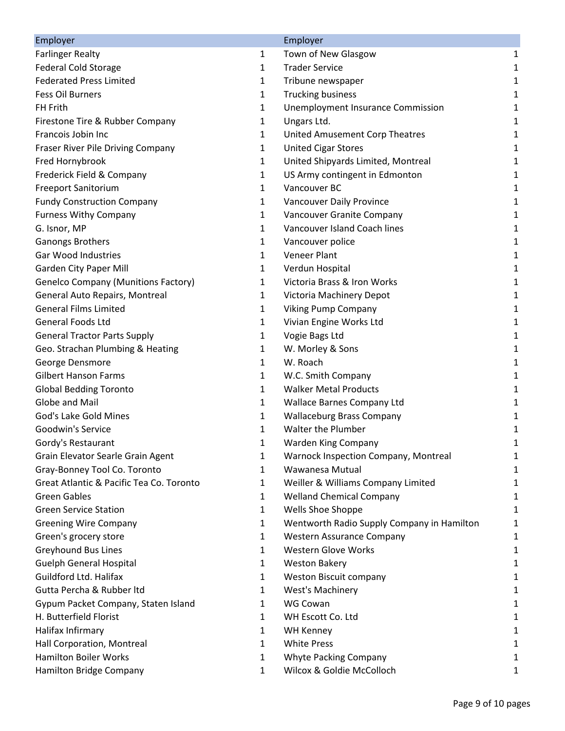| Employer                                   |              | Employer                                   |   |
|--------------------------------------------|--------------|--------------------------------------------|---|
| <b>Farlinger Realty</b>                    | 1            | Town of New Glasgow                        | 1 |
| <b>Federal Cold Storage</b>                | 1            | <b>Trader Service</b>                      | 1 |
| <b>Federated Press Limited</b>             | 1            | Tribune newspaper                          | 1 |
| <b>Fess Oil Burners</b>                    | $\mathbf{1}$ | <b>Trucking business</b>                   | 1 |
| FH Frith                                   | 1            | <b>Unemployment Insurance Commission</b>   | 1 |
| Firestone Tire & Rubber Company            | 1            | Ungars Ltd.                                | 1 |
| Francois Jobin Inc                         | 1            | United Amusement Corp Theatres             | 1 |
| Fraser River Pile Driving Company          | 1            | <b>United Cigar Stores</b>                 | 1 |
| Fred Hornybrook                            | 1            | United Shipyards Limited, Montreal         | 1 |
| Frederick Field & Company                  | 1            | US Army contingent in Edmonton             | 1 |
| <b>Freeport Sanitorium</b>                 | 1            | Vancouver BC                               | 1 |
| <b>Fundy Construction Company</b>          | 1            | Vancouver Daily Province                   | 1 |
| <b>Furness Withy Company</b>               | 1            | Vancouver Granite Company                  | 1 |
| G. Isnor, MP                               | 1            | Vancouver Island Coach lines               | 1 |
| Ganongs Brothers                           | 1            | Vancouver police                           | 1 |
| <b>Gar Wood Industries</b>                 | 1            | <b>Veneer Plant</b>                        | 1 |
| <b>Garden City Paper Mill</b>              | 1            | Verdun Hospital                            | 1 |
| <b>Genelco Company (Munitions Factory)</b> | 1            | Victoria Brass & Iron Works                | 1 |
| General Auto Repairs, Montreal             | 1            | Victoria Machinery Depot                   | 1 |
| <b>General Films Limited</b>               | 1            | <b>Viking Pump Company</b>                 | 1 |
| <b>General Foods Ltd</b>                   | 1            | Vivian Engine Works Ltd                    | 1 |
| <b>General Tractor Parts Supply</b>        | 1            | Vogie Bags Ltd                             | 1 |
| Geo. Strachan Plumbing & Heating           | 1            | W. Morley & Sons                           | 1 |
| George Densmore                            | 1            | W. Roach                                   | 1 |
| <b>Gilbert Hanson Farms</b>                | 1            | W.C. Smith Company                         | 1 |
| <b>Global Bedding Toronto</b>              | $\mathbf{1}$ | <b>Walker Metal Products</b>               | 1 |
| Globe and Mail                             | 1            | <b>Wallace Barnes Company Ltd</b>          | 1 |
| God's Lake Gold Mines                      | 1            | <b>Wallaceburg Brass Company</b>           | 1 |
| Goodwin's Service                          | 1            | Walter the Plumber                         | 1 |
| Gordy's Restaurant                         | 1            | Warden King Company                        | 1 |
| Grain Elevator Searle Grain Agent          | 1            | Warnock Inspection Company, Montreal       | 1 |
| Gray-Bonney Tool Co. Toronto               | 1            | Wawanesa Mutual                            | 1 |
| Great Atlantic & Pacific Tea Co. Toronto   | 1            | Weiller & Williams Company Limited         | 1 |
| <b>Green Gables</b>                        | 1            | <b>Welland Chemical Company</b>            | 1 |
| <b>Green Service Station</b>               | 1            | Wells Shoe Shoppe                          | 1 |
| <b>Greening Wire Company</b>               | 1            | Wentworth Radio Supply Company in Hamilton | 1 |
| Green's grocery store                      | 1            | Western Assurance Company                  | 1 |
| <b>Greyhound Bus Lines</b>                 | 1            | <b>Western Glove Works</b>                 | 1 |
| <b>Guelph General Hospital</b>             | 1            | <b>Weston Bakery</b>                       | 1 |
| Guildford Ltd. Halifax                     | 1            | Weston Biscuit company                     | 1 |
| Gutta Percha & Rubber Itd                  | 1            | <b>West's Machinery</b>                    | 1 |
| Gypum Packet Company, Staten Island        | 1            | WG Cowan                                   | 1 |
| H. Butterfield Florist                     | 1            | WH Escott Co. Ltd                          | 1 |
| Halifax Infirmary                          | 1            | <b>WH Kenney</b>                           | 1 |
| Hall Corporation, Montreal                 | 1            | <b>White Press</b>                         | 1 |
| <b>Hamilton Boiler Works</b>               | 1            | Whyte Packing Company                      | 1 |
| Hamilton Bridge Company                    | 1            | Wilcox & Goldie McColloch                  | 1 |